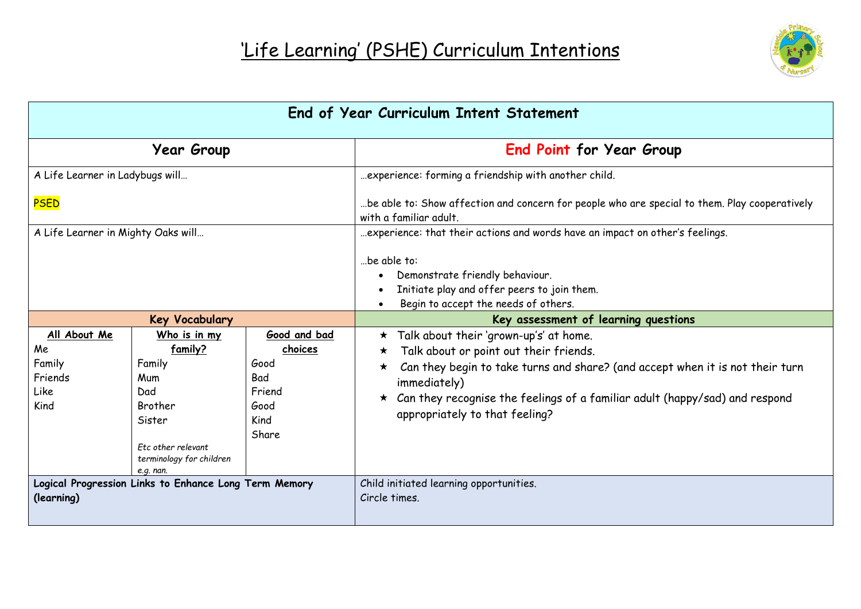

| End of Year Curriculum Intent Statement                                              |                                                                                                                                     |                                                                           |                                                                                                                                                                                                                                                                                                      |
|--------------------------------------------------------------------------------------|-------------------------------------------------------------------------------------------------------------------------------------|---------------------------------------------------------------------------|------------------------------------------------------------------------------------------------------------------------------------------------------------------------------------------------------------------------------------------------------------------------------------------------------|
|                                                                                      | <b>Year Group</b>                                                                                                                   |                                                                           | <b>End Point for Year Group</b>                                                                                                                                                                                                                                                                      |
| A Life Learner in Ladybugs will<br><b>PSED</b><br>A Life Learner in Mighty Oaks will |                                                                                                                                     |                                                                           | experience: forming a friendship with another child.<br>be able to: Show affection and concern for people who are special to them. Play cooperatively<br>with a familiar adult.<br>experience: that their actions and words have an impact on other's feelings.<br>be able to:                       |
|                                                                                      |                                                                                                                                     |                                                                           | Demonstrate friendly behaviour.<br>Initiate play and offer peers to join them.<br>Begin to accept the needs of others.                                                                                                                                                                               |
|                                                                                      | <b>Key Vocabulary</b>                                                                                                               |                                                                           | Key assessment of learning questions                                                                                                                                                                                                                                                                 |
| All About Me<br>Me<br>Family<br>Friends<br>Like<br>Kind                              | Who is in my<br>family?<br>Family<br>Mum<br>Dad<br>Brother<br>Sister<br>Etc other relevant<br>terminology for children<br>e.g. nan. | Good and bad<br>choices<br>Good<br>Bad<br>Friend<br>Good<br>Kind<br>Share | * Talk about their 'grown-up's' at home.<br>Talk about or point out their friends.<br>Can they begin to take turns and share? (and accept when it is not their turn<br>immediately)<br>Can they recognise the feelings of a familiar adult (happy/sad) and respond<br>appropriately to that feeling? |
| Logical Progression Links to Enhance Long Term Memory<br>(learning)                  |                                                                                                                                     |                                                                           | Child initiated learning opportunities.<br>Circle times.                                                                                                                                                                                                                                             |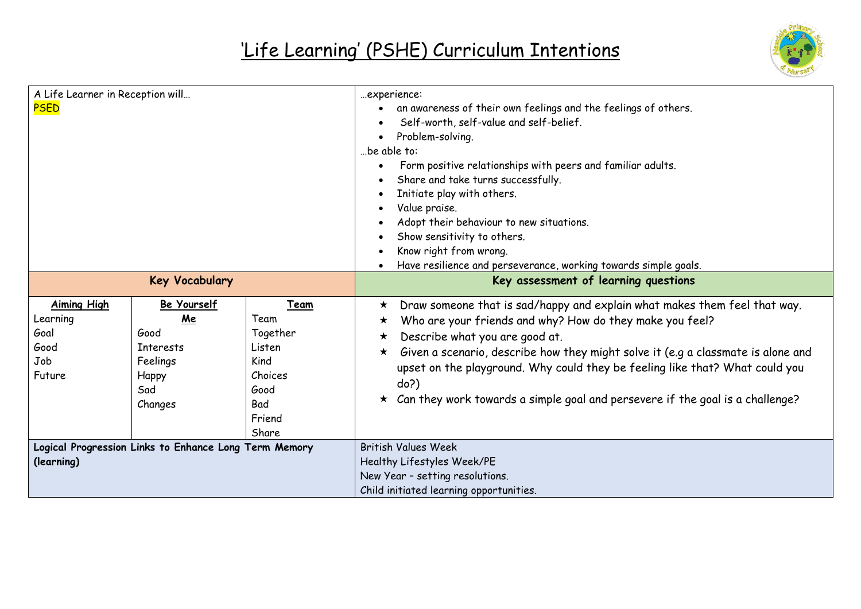

| A Life Learner in Reception will<br><b>PSED</b>                     |                                                                                      |                                                                                         | experience:<br>an awareness of their own feelings and the feelings of others.<br>Self-worth, self-value and self-belief.<br>Problem-solving.<br>be able to:<br>Form positive relationships with peers and familiar adults.<br>$\bullet$<br>Share and take turns successfully.<br>Initiate play with others.<br>٠<br>Value praise.<br>$\bullet$<br>Adopt their behaviour to new situations.<br>Show sensitivity to others.<br>Know right from wrong.<br>$\bullet$<br>Have resilience and perseverance, working towards simple goals.<br>$\bullet$ |
|---------------------------------------------------------------------|--------------------------------------------------------------------------------------|-----------------------------------------------------------------------------------------|--------------------------------------------------------------------------------------------------------------------------------------------------------------------------------------------------------------------------------------------------------------------------------------------------------------------------------------------------------------------------------------------------------------------------------------------------------------------------------------------------------------------------------------------------|
| <b>Key Vocabulary</b>                                               |                                                                                      |                                                                                         | Key assessment of learning questions                                                                                                                                                                                                                                                                                                                                                                                                                                                                                                             |
| <b>Aiming High</b><br>Learning<br>Goal<br>Good<br>Job<br>Future     | Be Yourself<br>Me<br>Good<br><b>Interests</b><br>Feelings<br>Happy<br>Sad<br>Changes | Team<br>Team<br>Together<br>Listen<br>Kind<br>Choices<br>Good<br>Bad<br>Friend<br>Share | Draw someone that is sad/happy and explain what makes them feel that way.<br>★<br>Who are your friends and why? How do they make you feel?<br>★<br>Describe what you are good at.<br>★<br>Given a scenario, describe how they might solve it (e.g a classmate is alone and<br>$\star$<br>upset on the playground. Why could they be feeling like that? What could you<br>do?)<br>Can they work towards a simple goal and persevere if the goal is a challenge?<br>$\star$                                                                        |
| Logical Progression Links to Enhance Long Term Memory<br>(learning) |                                                                                      |                                                                                         | <b>British Values Week</b><br>Healthy Lifestyles Week/PE<br>New Year - setting resolutions.<br>Child initiated learning opportunities.                                                                                                                                                                                                                                                                                                                                                                                                           |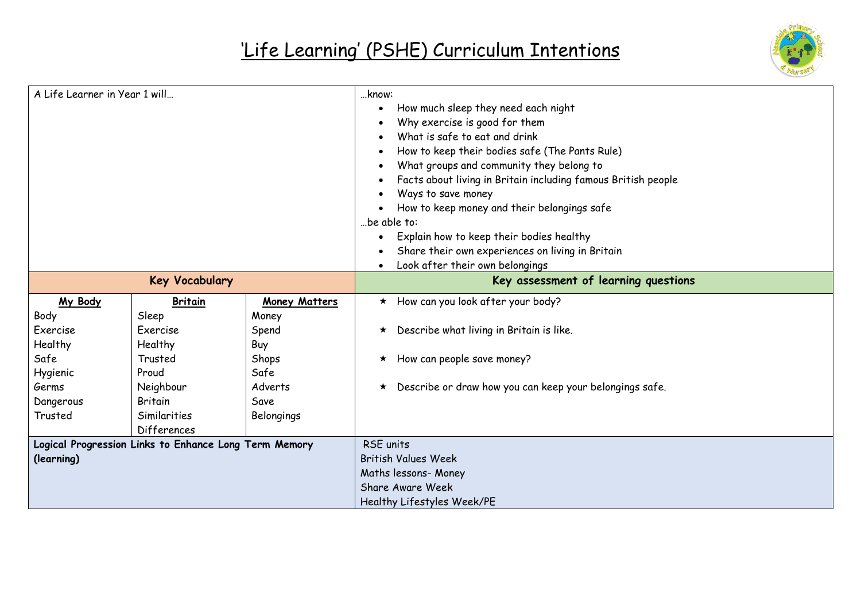

| A Life Learner in Year 1 will                         |                       |                      | know:<br>How much sleep they need each night<br>Why exercise is good for them<br>What is safe to eat and drink<br>How to keep their bodies safe (The Pants Rule)<br>What groups and community they belong to<br>$\bullet$<br>Facts about living in Britain including famous British people<br>Ways to save money<br>How to keep money and their belongings safe<br>be able to: |  |
|-------------------------------------------------------|-----------------------|----------------------|--------------------------------------------------------------------------------------------------------------------------------------------------------------------------------------------------------------------------------------------------------------------------------------------------------------------------------------------------------------------------------|--|
|                                                       |                       |                      | Explain how to keep their bodies healthy<br>$\bullet$<br>Share their own experiences on living in Britain<br>Look after their own belongings                                                                                                                                                                                                                                   |  |
|                                                       | <b>Key Vocabulary</b> |                      | Key assessment of learning questions                                                                                                                                                                                                                                                                                                                                           |  |
| My Body                                               | <b>Britain</b>        | <b>Money Matters</b> | $\star$ How can you look after your body?                                                                                                                                                                                                                                                                                                                                      |  |
| Body                                                  | Sleep                 | Money                |                                                                                                                                                                                                                                                                                                                                                                                |  |
| Exercise                                              | Exercise              | Spend                | Describe what living in Britain is like.<br>$\star$                                                                                                                                                                                                                                                                                                                            |  |
| Healthy                                               | Healthy               | Buy                  |                                                                                                                                                                                                                                                                                                                                                                                |  |
| Safe                                                  | Trusted               | Shops                | How can people save money?<br>$\star$                                                                                                                                                                                                                                                                                                                                          |  |
| Hygienic                                              | Proud                 | Safe                 |                                                                                                                                                                                                                                                                                                                                                                                |  |
| Germs                                                 | Neighbour             | Adverts              | Describe or draw how you can keep your belongings safe.<br>$\star$                                                                                                                                                                                                                                                                                                             |  |
| Dangerous                                             | Britain               | Save                 |                                                                                                                                                                                                                                                                                                                                                                                |  |
| Trusted<br>Similarities<br><b>Differences</b>         |                       | Belongings           |                                                                                                                                                                                                                                                                                                                                                                                |  |
| Logical Progression Links to Enhance Long Term Memory |                       |                      | RSE units                                                                                                                                                                                                                                                                                                                                                                      |  |
| (learning)                                            |                       |                      | <b>British Values Week</b>                                                                                                                                                                                                                                                                                                                                                     |  |
|                                                       |                       |                      | Maths lessons- Money                                                                                                                                                                                                                                                                                                                                                           |  |
|                                                       |                       |                      | Share Aware Week                                                                                                                                                                                                                                                                                                                                                               |  |
|                                                       |                       |                      | Healthy Lifestyles Week/PE                                                                                                                                                                                                                                                                                                                                                     |  |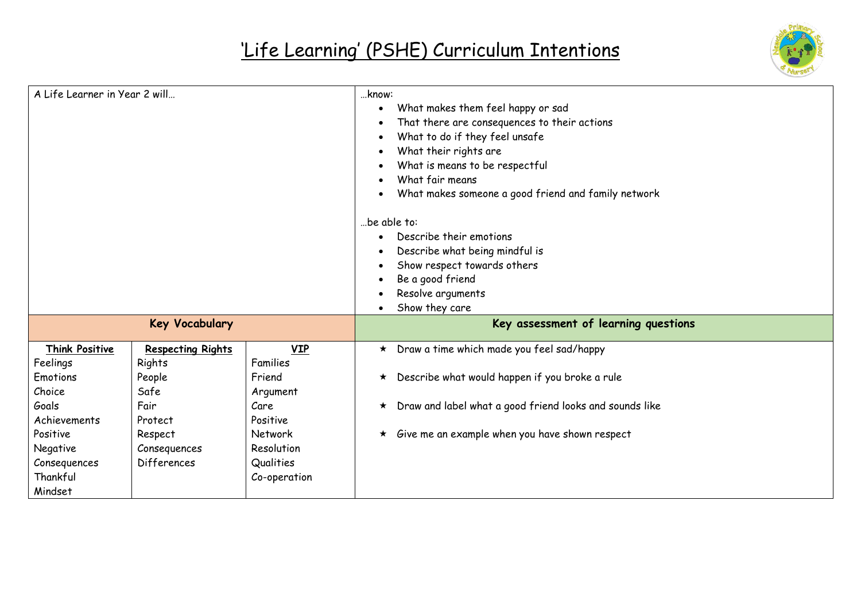

| A Life Learner in Year 2 will                         |                                    |                           | know:<br>What makes them feel happy or sad<br>٠<br>That there are consequences to their actions<br>What to do if they feel unsafe<br>What their rights are<br>What is means to be respectful<br>What fair means<br>What makes someone a good friend and family network<br>be able to:<br>Describe their emotions<br>Describe what being mindful is<br>Show respect towards others<br>Be a good friend<br>Resolve arguments<br>Show they care |
|-------------------------------------------------------|------------------------------------|---------------------------|----------------------------------------------------------------------------------------------------------------------------------------------------------------------------------------------------------------------------------------------------------------------------------------------------------------------------------------------------------------------------------------------------------------------------------------------|
|                                                       | <b>Key Vocabulary</b>              |                           | Key assessment of learning questions                                                                                                                                                                                                                                                                                                                                                                                                         |
| Think Positive<br>Feelings                            | <b>Respecting Rights</b><br>Rights | VIP<br>Families           | * Draw a time which made you feel sad/happy                                                                                                                                                                                                                                                                                                                                                                                                  |
| Emotions<br>Choice                                    | People<br>Safe                     | Friend<br>Argument        | Describe what would happen if you broke a rule<br>$\star$                                                                                                                                                                                                                                                                                                                                                                                    |
| Goals<br>Achievements                                 | Fair<br>Protect                    | Care<br>Positive          | Draw and label what a good friend looks and sounds like<br>$\star$                                                                                                                                                                                                                                                                                                                                                                           |
| Positive                                              | Respect                            | <b>Network</b>            | $\star$ Give me an example when you have shown respect                                                                                                                                                                                                                                                                                                                                                                                       |
| Resolution<br>Negative<br>Consequences<br>Differences |                                    |                           |                                                                                                                                                                                                                                                                                                                                                                                                                                              |
| Consequences<br>Thankful<br>Mindset                   |                                    | Qualities<br>Co-operation |                                                                                                                                                                                                                                                                                                                                                                                                                                              |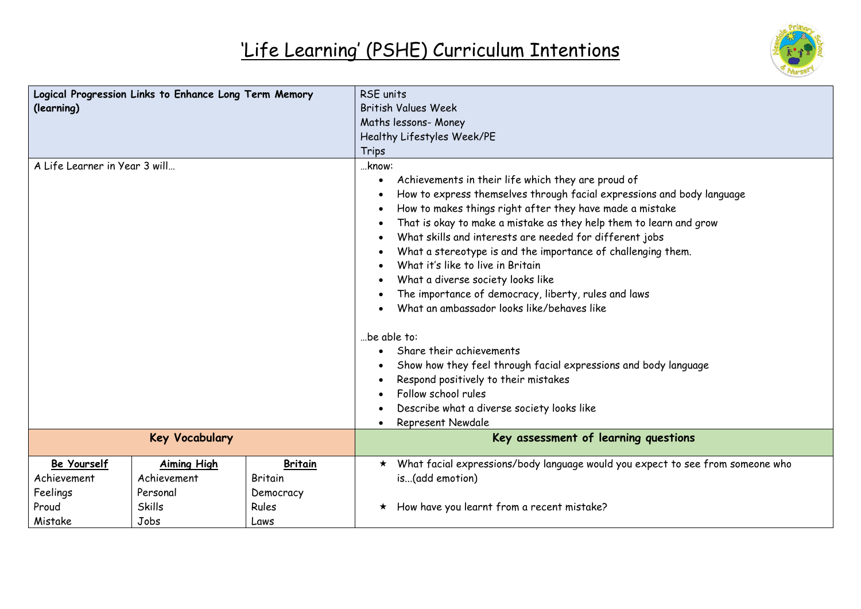

| Logical Progression Links to Enhance Long Term Memory<br>(learning) |                                                                        |                                                                | <b>RSE</b> units<br><b>British Values Week</b><br>Maths lessons- Money<br>Healthy Lifestyles Week/PE<br>Trips                                                                                                                                                                                                                                                                                                                                                                                                                                                                                                                                                                                                                                                                                                                      |  |  |
|---------------------------------------------------------------------|------------------------------------------------------------------------|----------------------------------------------------------------|------------------------------------------------------------------------------------------------------------------------------------------------------------------------------------------------------------------------------------------------------------------------------------------------------------------------------------------------------------------------------------------------------------------------------------------------------------------------------------------------------------------------------------------------------------------------------------------------------------------------------------------------------------------------------------------------------------------------------------------------------------------------------------------------------------------------------------|--|--|
| A Life Learner in Year 3 will                                       |                                                                        |                                                                | know:<br>Achievements in their life which they are proud of<br>How to express themselves through facial expressions and body language<br>How to makes things right after they have made a mistake<br>That is okay to make a mistake as they help them to learn and grow<br>What skills and interests are needed for different jobs<br>What a stereotype is and the importance of challenging them.<br>What it's like to live in Britain<br>What a diverse society looks like<br>The importance of democracy, liberty, rules and laws<br>What an ambassador looks like/behaves like<br>be able to:<br>Share their achievements<br>Show how they feel through facial expressions and body language<br>Respond positively to their mistakes<br>Follow school rules<br>Describe what a diverse society looks like<br>Represent Newdale |  |  |
| <b>Key Vocabulary</b>                                               |                                                                        |                                                                | Key assessment of learning questions                                                                                                                                                                                                                                                                                                                                                                                                                                                                                                                                                                                                                                                                                                                                                                                               |  |  |
| Be Yourself<br>Achievement<br>Feelings<br>Proud<br>Mistake          | <b>Aiming High</b><br>Achievement<br>Personal<br><b>Skills</b><br>Jobs | <b>Britain</b><br><b>Britain</b><br>Democracy<br>Rules<br>Laws | What facial expressions/body language would you expect to see from someone who<br>$\star$<br>is(add emotion)<br>How have you learnt from a recent mistake?<br>$\star$                                                                                                                                                                                                                                                                                                                                                                                                                                                                                                                                                                                                                                                              |  |  |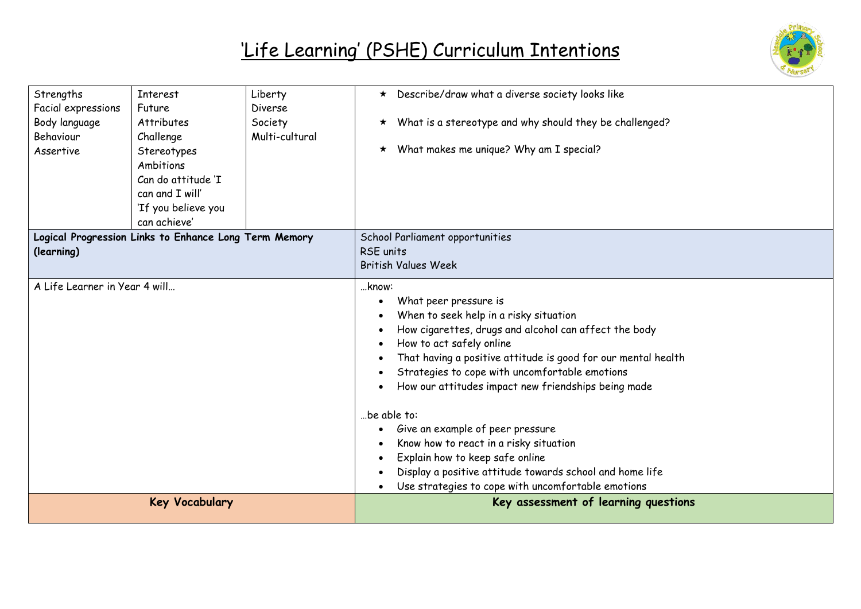

| Strengths                                             | <b>Interest</b>     | Liberty        | * Describe/draw what a diverse society looks like               |
|-------------------------------------------------------|---------------------|----------------|-----------------------------------------------------------------|
| Facial expressions<br>Future                          |                     | Diverse        |                                                                 |
| Body language                                         | <b>Attributes</b>   | Society        | $\star$ What is a stereotype and why should they be challenged? |
| Behaviour                                             | Challenge           | Multi-cultural |                                                                 |
| Assertive                                             | Stereotypes         |                | $\star$ What makes me unique? Why am I special?                 |
|                                                       | Ambitions           |                |                                                                 |
|                                                       | Can do attitude 'I  |                |                                                                 |
|                                                       | can and I will'     |                |                                                                 |
|                                                       | 'If you believe you |                |                                                                 |
|                                                       | can achieve'        |                |                                                                 |
| Logical Progression Links to Enhance Long Term Memory |                     |                | School Parliament opportunities                                 |
| (learning)                                            |                     |                | <b>RSE</b> units                                                |
|                                                       |                     |                | <b>British Values Week</b>                                      |
| A Life Learner in Year 4 will                         |                     |                | know:                                                           |
|                                                       |                     |                | What peer pressure is                                           |
|                                                       |                     |                | When to seek help in a risky situation                          |
|                                                       |                     |                | How cigarettes, drugs and alcohol can affect the body           |
|                                                       |                     |                | How to act safely online                                        |
|                                                       |                     |                | That having a positive attitude is good for our mental health   |
|                                                       |                     |                | Strategies to cope with uncomfortable emotions                  |
|                                                       |                     |                | How our attitudes impact new friendships being made             |
|                                                       |                     |                | be able to:                                                     |
|                                                       |                     |                | Give an example of peer pressure                                |
|                                                       |                     |                | Know how to react in a risky situation                          |
|                                                       |                     |                | Explain how to keep safe online                                 |
|                                                       |                     |                | Display a positive attitude towards school and home life        |
|                                                       |                     |                | Use strategies to cope with uncomfortable emotions              |
| <b>Key Vocabulary</b>                                 |                     |                | Key assessment of learning questions                            |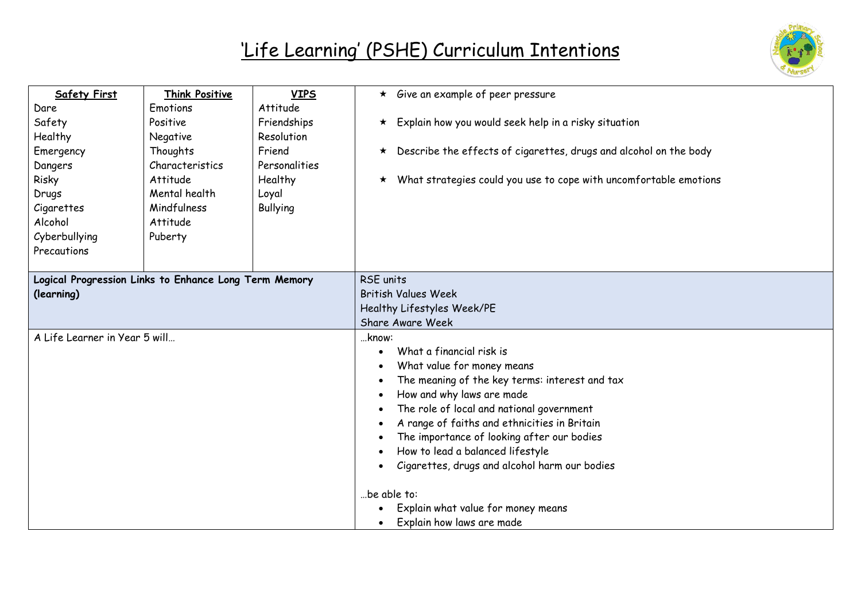

| <b>Safety First</b>                                   | <b>Think Positive</b> | <b>VIPS</b>     | $\star$ Give an example of peer pressure                                     |  |
|-------------------------------------------------------|-----------------------|-----------------|------------------------------------------------------------------------------|--|
| Dare                                                  | Emotions              | Attitude        |                                                                              |  |
| Safety                                                | Positive              | Friendships     | $\star$ Explain how you would seek help in a risky situation                 |  |
| Healthy                                               | Negative              | Resolution      |                                                                              |  |
| Emergency                                             | Thoughts              | Friend          | $\star$ Describe the effects of cigarettes, drugs and alcohol on the body    |  |
| Dangers                                               | Characteristics       | Personalities   |                                                                              |  |
| Risky                                                 | Attitude              | Healthy         | What strategies could you use to cope with uncomfortable emotions<br>$\star$ |  |
| Drugs                                                 | Mental health         | Loyal           |                                                                              |  |
| Cigarettes                                            | Mindfulness           | <b>Bullying</b> |                                                                              |  |
| Alcohol                                               | Attitude              |                 |                                                                              |  |
| Cyberbullying                                         | Puberty               |                 |                                                                              |  |
| Precautions                                           |                       |                 |                                                                              |  |
|                                                       |                       |                 |                                                                              |  |
| Logical Progression Links to Enhance Long Term Memory |                       |                 | RSE units                                                                    |  |
| (learning)                                            |                       |                 | <b>British Values Week</b>                                                   |  |
|                                                       |                       |                 | Healthy Lifestyles Week/PE                                                   |  |
|                                                       |                       |                 | Share Aware Week                                                             |  |
| A Life Learner in Year 5 will                         |                       |                 | know:                                                                        |  |
|                                                       |                       |                 | What a financial risk is                                                     |  |
|                                                       |                       |                 | What value for money means                                                   |  |
|                                                       |                       |                 | The meaning of the key terms: interest and tax<br>$\bullet$                  |  |
|                                                       |                       |                 | How and why laws are made                                                    |  |
|                                                       |                       |                 | The role of local and national government                                    |  |
|                                                       |                       |                 | A range of faiths and ethnicities in Britain                                 |  |
|                                                       |                       |                 | The importance of looking after our bodies                                   |  |
|                                                       |                       |                 | How to lead a balanced lifestyle                                             |  |
|                                                       |                       |                 | Cigarettes, drugs and alcohol harm our bodies                                |  |
|                                                       |                       |                 | be able to:                                                                  |  |
|                                                       |                       |                 | Explain what value for money means                                           |  |
|                                                       |                       |                 | Explain how laws are made                                                    |  |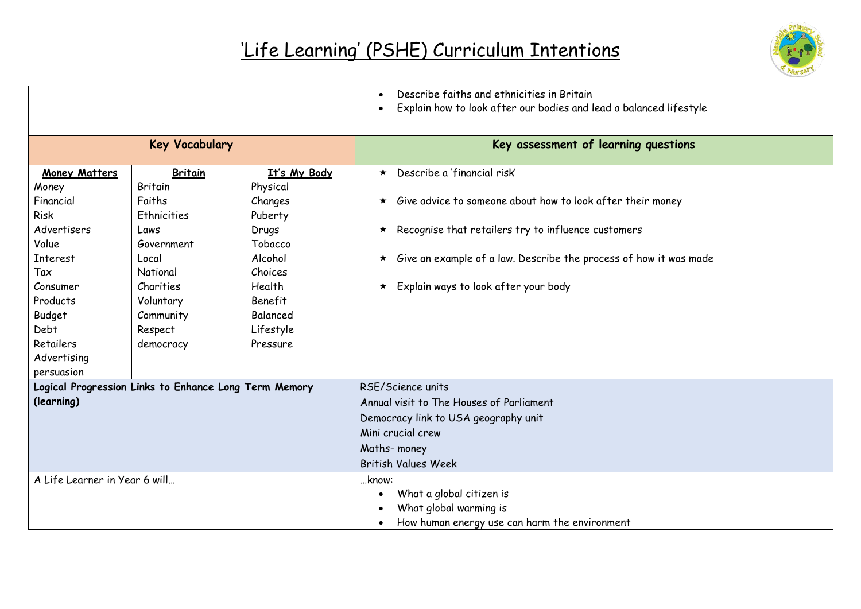

|                                                                                                      |                                                                                                             |                                                                                          | Describe faiths and ethnicities in Britain<br>Explain how to look after our bodies and lead a balanced lifestyle                                                                                                                                      |
|------------------------------------------------------------------------------------------------------|-------------------------------------------------------------------------------------------------------------|------------------------------------------------------------------------------------------|-------------------------------------------------------------------------------------------------------------------------------------------------------------------------------------------------------------------------------------------------------|
|                                                                                                      | <b>Key Vocabulary</b>                                                                                       |                                                                                          | Key assessment of learning questions                                                                                                                                                                                                                  |
| <b>Money Matters</b><br>Money<br>Financial<br>Risk<br>Advertisers<br>Value<br><b>Interest</b><br>Tax | <b>Britain</b><br><b>Britain</b><br>Faiths<br><b>Ethnicities</b><br>Laws<br>Government<br>Local<br>National | It's My Body<br>Physical<br>Changes<br>Puberty<br>Drugs<br>Tobacco<br>Alcohol<br>Choices | $\star$ Describe a 'financial risk'<br>$\star$ Give advice to someone about how to look after their money<br>$\star$ Recognise that retailers try to influence customers<br>$\star$ Give an example of a law. Describe the process of how it was made |
| Consumer<br>Products<br>Budget<br>Debt<br>Retailers<br>Advertising<br>persuasion                     | Charities<br>Voluntary<br>Community<br>Respect<br>democracy                                                 | Health<br>Benefit<br>Balanced<br>Lifestyle<br>Pressure                                   | Explain ways to look after your body<br>$\star$                                                                                                                                                                                                       |
| Logical Progression Links to Enhance Long Term Memory<br>(learning)                                  |                                                                                                             |                                                                                          | RSE/Science units<br>Annual visit to The Houses of Parliament<br>Democracy link to USA geography unit<br>Mini crucial crew<br>Maths-money<br><b>British Values Week</b>                                                                               |
| A Life Learner in Year 6 will                                                                        |                                                                                                             |                                                                                          | know:<br>What a global citizen is<br>What global warming is<br>How human energy use can harm the environment                                                                                                                                          |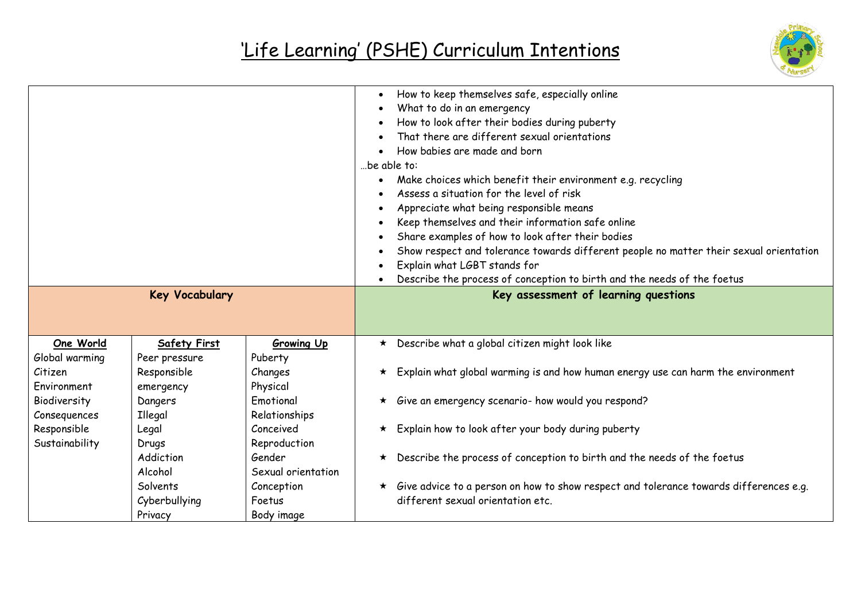

| <b>Key Vocabulary</b>                                     |                      | How to keep themselves safe, especially online<br>What to do in an emergency<br>How to look after their bodies during puberty<br>That there are different sexual orientations<br>How babies are made and born<br>be able to:<br>Make choices which benefit their environment e.g. recycling<br>Assess a situation for the level of risk<br>Appreciate what being responsible means<br>Keep themselves and their information safe online<br>Share examples of how to look after their bodies<br>Show respect and tolerance towards different people no matter their sexual orientation<br>Explain what LGBT stands for<br>Describe the process of conception to birth and the needs of the foetus<br>Key assessment of learning questions |
|-----------------------------------------------------------|----------------------|------------------------------------------------------------------------------------------------------------------------------------------------------------------------------------------------------------------------------------------------------------------------------------------------------------------------------------------------------------------------------------------------------------------------------------------------------------------------------------------------------------------------------------------------------------------------------------------------------------------------------------------------------------------------------------------------------------------------------------------|
| One World<br><b>Safety First</b>                          | <b>Growing Up</b>    | $\star$ Describe what a global citizen might look like                                                                                                                                                                                                                                                                                                                                                                                                                                                                                                                                                                                                                                                                                   |
| Global warming<br>Peer pressure<br>Responsible<br>Citizen | Puberty<br>Changes   | $\star$ Explain what global warming is and how human energy use can harm the environment                                                                                                                                                                                                                                                                                                                                                                                                                                                                                                                                                                                                                                                 |
| Environment<br>emergency                                  | Physical             |                                                                                                                                                                                                                                                                                                                                                                                                                                                                                                                                                                                                                                                                                                                                          |
| Biodiversity<br>Dangers                                   | Emotional            | Give an emergency scenario- how would you respond?<br>$\star$                                                                                                                                                                                                                                                                                                                                                                                                                                                                                                                                                                                                                                                                            |
| Consequences<br>Illegal                                   | Relationships        |                                                                                                                                                                                                                                                                                                                                                                                                                                                                                                                                                                                                                                                                                                                                          |
| Responsible<br>Legal                                      | Conceived            | * Explain how to look after your body during puberty                                                                                                                                                                                                                                                                                                                                                                                                                                                                                                                                                                                                                                                                                     |
| Sustainability<br>Drugs                                   | Reproduction         |                                                                                                                                                                                                                                                                                                                                                                                                                                                                                                                                                                                                                                                                                                                                          |
| Addiction                                                 | Gender               | Describe the process of conception to birth and the needs of the foetus<br>$\star$                                                                                                                                                                                                                                                                                                                                                                                                                                                                                                                                                                                                                                                       |
| Alcohol                                                   | Sexual orientation   |                                                                                                                                                                                                                                                                                                                                                                                                                                                                                                                                                                                                                                                                                                                                          |
| Solvents<br>Cyberbullying                                 | Conception<br>Foetus | * Give advice to a person on how to show respect and tolerance towards differences e.g.<br>different sexual orientation etc.                                                                                                                                                                                                                                                                                                                                                                                                                                                                                                                                                                                                             |
|                                                           |                      |                                                                                                                                                                                                                                                                                                                                                                                                                                                                                                                                                                                                                                                                                                                                          |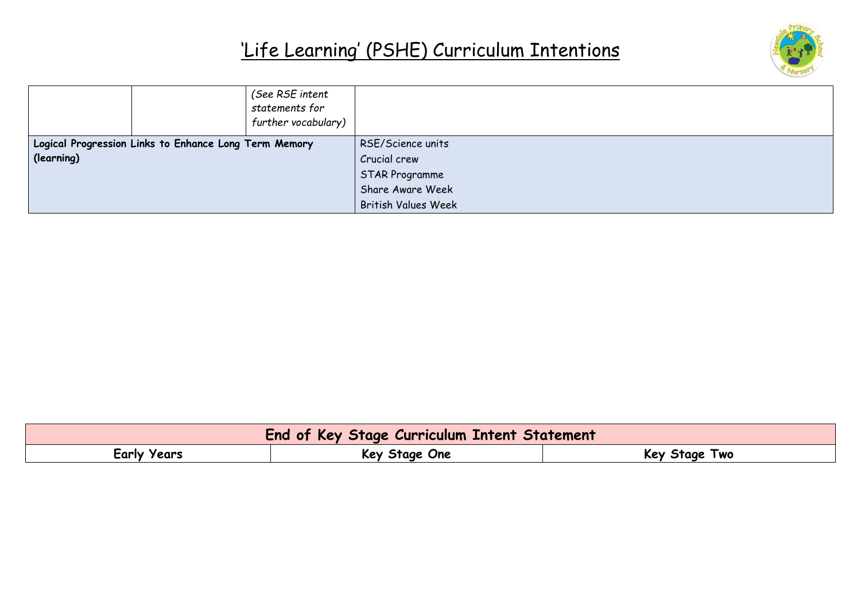

|            |                                                       | (See RSE intent<br>statements for<br>further vocabulary) |                            |
|------------|-------------------------------------------------------|----------------------------------------------------------|----------------------------|
|            | Logical Progression Links to Enhance Long Term Memory |                                                          | RSE/Science units          |
| (learning) |                                                       |                                                          | Crucial crew               |
|            |                                                       |                                                          | STAR Programme             |
|            |                                                       |                                                          | Share Aware Week           |
|            |                                                       |                                                          | <b>British Values Week</b> |

| <b>End of Key Stage Curriculum Intent Statement</b> |               |               |  |
|-----------------------------------------------------|---------------|---------------|--|
| Early Years                                         | Key Stage One | Key Stage Two |  |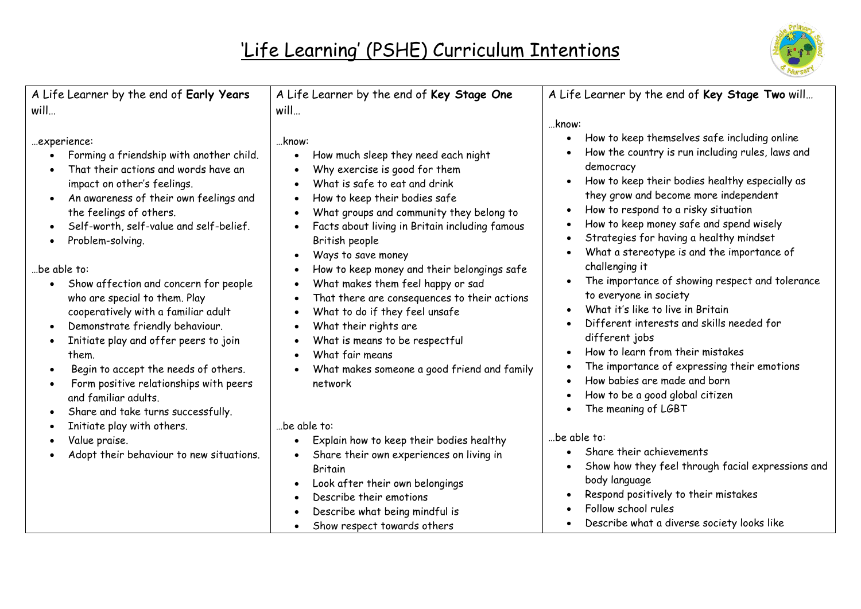

| A Life Learner by the end of Early Years                                                                                                                                                                                                                                                                                                                                       | A Life Learner by the end of Key Stage One                                                                                                                                                                                                                                                                                                        | A Life Learner by the end of Key Stage Two will                                                                                                                                                                                                                                                                                                                                                                        |
|--------------------------------------------------------------------------------------------------------------------------------------------------------------------------------------------------------------------------------------------------------------------------------------------------------------------------------------------------------------------------------|---------------------------------------------------------------------------------------------------------------------------------------------------------------------------------------------------------------------------------------------------------------------------------------------------------------------------------------------------|------------------------------------------------------------------------------------------------------------------------------------------------------------------------------------------------------------------------------------------------------------------------------------------------------------------------------------------------------------------------------------------------------------------------|
| will                                                                                                                                                                                                                                                                                                                                                                           | will                                                                                                                                                                                                                                                                                                                                              |                                                                                                                                                                                                                                                                                                                                                                                                                        |
| experience:<br>Forming a friendship with another child.<br>That their actions and words have an<br>impact on other's feelings.<br>An awareness of their own feelings and<br>the feelings of others.<br>Self-worth, self-value and self-belief.<br>Problem-solving.                                                                                                             | know:<br>How much sleep they need each night<br>$\bullet$<br>Why exercise is good for them<br>What is safe to eat and drink<br>How to keep their bodies safe<br>$\bullet$<br>What groups and community they belong to<br>$\bullet$<br>Facts about living in Britain including famous<br>British people<br>Ways to save money                      | know:<br>How to keep themselves safe including online<br>$\bullet$<br>How the country is run including rules, laws and<br>democracy<br>How to keep their bodies healthy especially as<br>$\bullet$<br>they grow and become more independent<br>How to respond to a risky situation<br>How to keep money safe and spend wisely<br>Strategies for having a healthy mindset<br>What a stereotype is and the importance of |
| be able to:<br>Show affection and concern for people<br>$\bullet$<br>who are special to them. Play<br>cooperatively with a familiar adult<br>Demonstrate friendly behaviour.<br>Initiate play and offer peers to join<br>them.<br>Begin to accept the needs of others.<br>Form positive relationships with peers<br>and familiar adults.<br>Share and take turns successfully. | How to keep money and their belongings safe<br>What makes them feel happy or sad<br>$\bullet$<br>That there are consequences to their actions<br>What to do if they feel unsafe<br>$\bullet$<br>What their rights are<br>$\bullet$<br>What is means to be respectful<br>What fair means<br>What makes someone a good friend and family<br>network | challenging it<br>The importance of showing respect and tolerance<br>to everyone in society<br>What it's like to live in Britain<br>Different interests and skills needed for<br>different jobs<br>How to learn from their mistakes<br>The importance of expressing their emotions<br>How babies are made and born<br>How to be a good global citizen<br>The meaning of LGBT                                           |
| Initiate play with others.<br>Value praise.<br>Adopt their behaviour to new situations.                                                                                                                                                                                                                                                                                        | be able to:<br>Explain how to keep their bodies healthy<br>Share their own experiences on living in<br><b>Britain</b><br>Look after their own belongings<br>Describe their emotions<br>Describe what being mindful is<br>Show respect towards others                                                                                              | be able to:<br>Share their achievements<br>Show how they feel through facial expressions and<br>body language<br>Respond positively to their mistakes<br>Follow school rules<br>Describe what a diverse society looks like                                                                                                                                                                                             |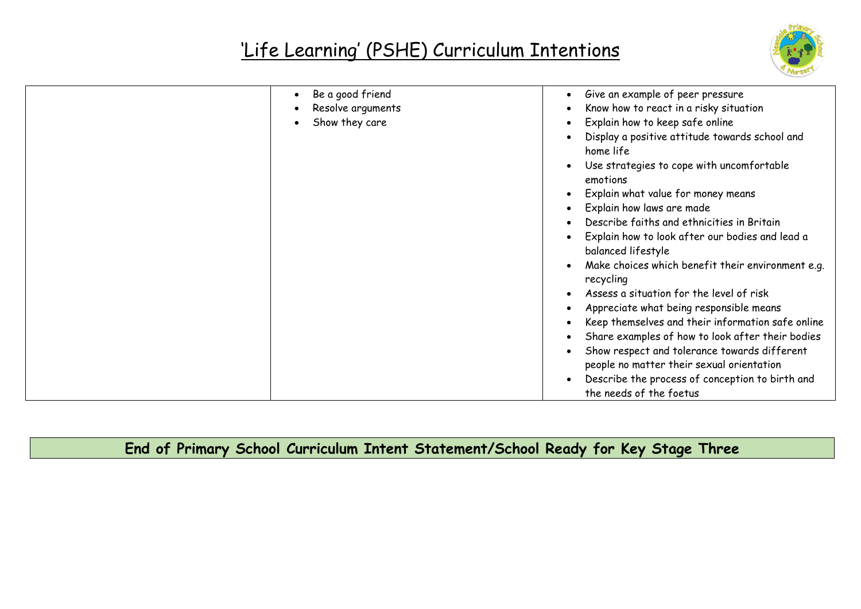

| Be a good friend<br>$\bullet$ | Give an example of peer pressure<br>$\bullet$                                      |
|-------------------------------|------------------------------------------------------------------------------------|
| Resolve arguments             | Know how to react in a risky situation<br>$\bullet$                                |
| Show they care                | Explain how to keep safe online<br>$\bullet$                                       |
|                               | Display a positive attitude towards school and<br>$\bullet$<br>home life           |
|                               | Use strategies to cope with uncomfortable<br>$\bullet$<br>emotions                 |
|                               | Explain what value for money means<br>$\bullet$                                    |
|                               | Explain how laws are made<br>$\bullet$                                             |
|                               | Describe faiths and ethnicities in Britain<br>$\bullet$                            |
|                               | Explain how to look after our bodies and lead a<br>$\bullet$<br>balanced lifestyle |
|                               | Make choices which benefit their environment e.g.<br>$\bullet$<br>recycling        |
|                               | Assess a situation for the level of risk<br>$\bullet$                              |
|                               | Appreciate what being responsible means<br>$\bullet$                               |
|                               | Keep themselves and their information safe online<br>٠                             |
|                               | Share examples of how to look after their bodies<br>$\bullet$                      |
|                               | Show respect and tolerance towards different<br>$\bullet$                          |
|                               | people no matter their sexual orientation                                          |
|                               | Describe the process of conception to birth and<br>$\bullet$                       |
|                               | the needs of the foetus                                                            |

**End of Primary School Curriculum Intent Statement/School Ready for Key Stage Three**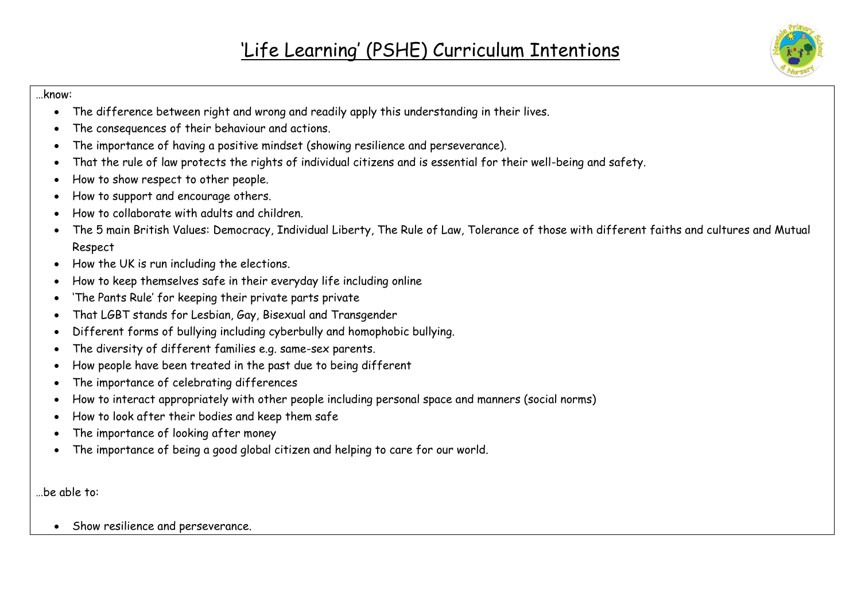#### …know:

- The difference between right and wrong and readily apply this understanding in their lives.
- The consequences of their behaviour and actions.
- The importance of having a positive mindset (showing resilience and perseverance).
- That the rule of law protects the rights of individual citizens and is essential for their well-being and safety.
- How to show respect to other people.
- How to support and encourage others.
- How to collaborate with adults and children.
- The 5 main British Values: Democracy, Individual Liberty, The Rule of Law, Tolerance of those with different faiths and cultures and Mutual Respect
- How the UK is run including the elections.
- How to keep themselves safe in their everyday life including online
- 'The Pants Rule' for keeping their private parts private
- That LGBT stands for Lesbian, Gay, Bisexual and Transgender
- Different forms of bullying including cyberbully and homophobic bullying.
- The diversity of different families e.g. same-sex parents.
- How people have been treated in the past due to being different
- The importance of celebrating differences
- How to interact appropriately with other people including personal space and manners (social norms)
- How to look after their bodies and keep them safe
- The importance of looking after money
- The importance of being a good global citizen and helping to care for our world.

…be able to:

• Show resilience and perseverance.